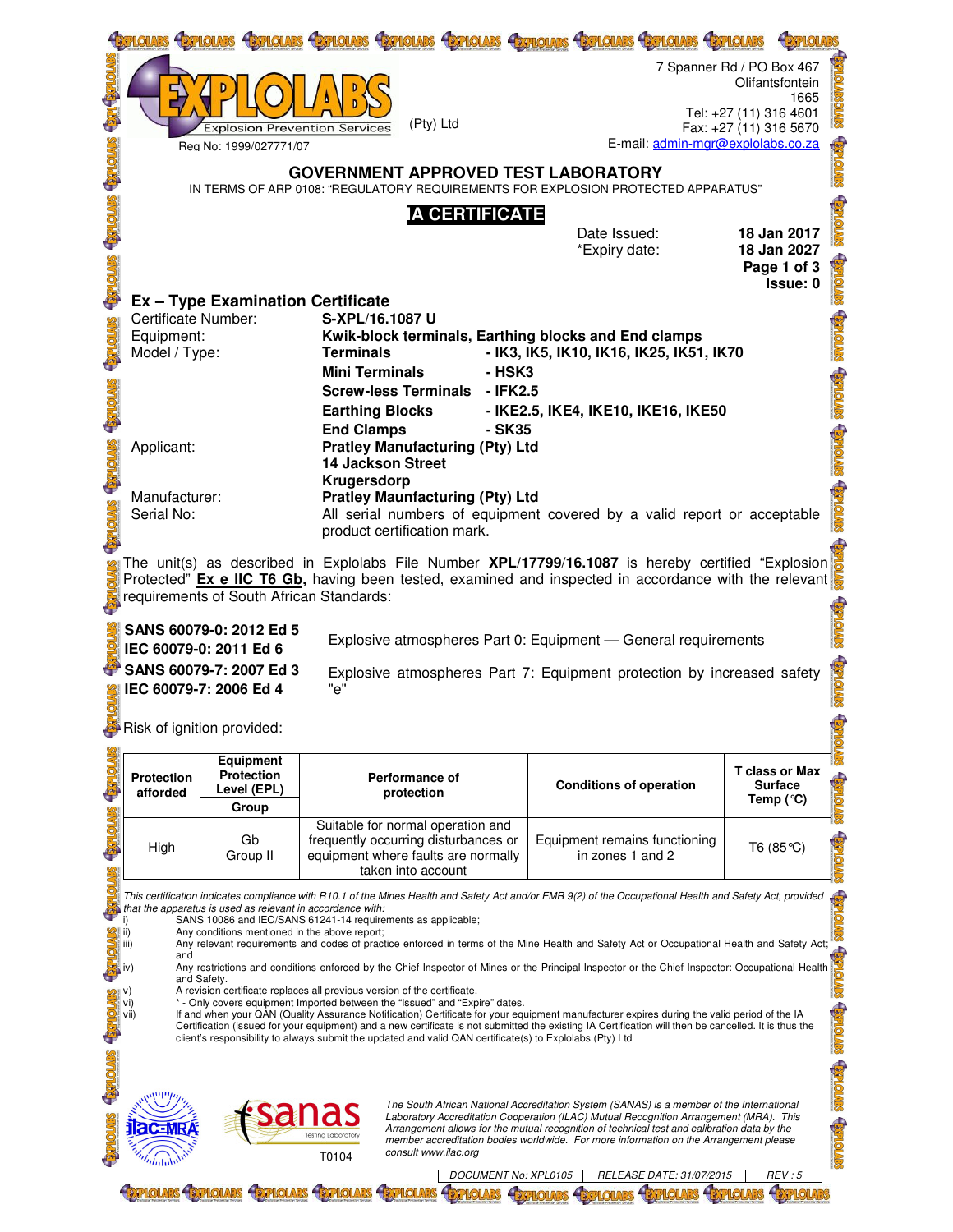|                  |                                                                                                                                 |                                                                                                             |                                                                                                                                                                                                                                                                                                                                                                                                                                                                                                                                                                                                                                                                                                                                      | <b>HEYPHOLARS</b><br><b>HEXPLOIARS</b>                                                                                                                                                |                                                                                                          |  |  |  |
|------------------|---------------------------------------------------------------------------------------------------------------------------------|-------------------------------------------------------------------------------------------------------------|--------------------------------------------------------------------------------------------------------------------------------------------------------------------------------------------------------------------------------------------------------------------------------------------------------------------------------------------------------------------------------------------------------------------------------------------------------------------------------------------------------------------------------------------------------------------------------------------------------------------------------------------------------------------------------------------------------------------------------------|---------------------------------------------------------------------------------------------------------------------------------------------------------------------------------------|----------------------------------------------------------------------------------------------------------|--|--|--|
|                  |                                                                                                                                 | <b>Explosion Prevention Services</b>                                                                        | (Pty) Ltd                                                                                                                                                                                                                                                                                                                                                                                                                                                                                                                                                                                                                                                                                                                            |                                                                                                                                                                                       | 7 Spanner Rd / PO Box 467<br>Olifantsfontein<br>1665<br>Tel: +27 (11) 316 4601<br>Fax: +27 (11) 316 5670 |  |  |  |
|                  |                                                                                                                                 | Rea No: 1999/027771/07                                                                                      |                                                                                                                                                                                                                                                                                                                                                                                                                                                                                                                                                                                                                                                                                                                                      | E-mail: admin-mgr@explolabs.co.za                                                                                                                                                     |                                                                                                          |  |  |  |
|                  | <b>GOVERNMENT APPROVED TEST LABORATORY</b><br>IN TERMS OF ARP 0108: "REGULATORY REQUIREMENTS FOR EXPLOSION PROTECTED APPARATUS" |                                                                                                             |                                                                                                                                                                                                                                                                                                                                                                                                                                                                                                                                                                                                                                                                                                                                      |                                                                                                                                                                                       |                                                                                                          |  |  |  |
|                  |                                                                                                                                 |                                                                                                             | <b>IA CERTIFICATE</b>                                                                                                                                                                                                                                                                                                                                                                                                                                                                                                                                                                                                                                                                                                                | Date Issued:                                                                                                                                                                          | 18 Jan 2017                                                                                              |  |  |  |
|                  |                                                                                                                                 |                                                                                                             |                                                                                                                                                                                                                                                                                                                                                                                                                                                                                                                                                                                                                                                                                                                                      | *Expiry date:                                                                                                                                                                         | 18 Jan 2027                                                                                              |  |  |  |
|                  |                                                                                                                                 |                                                                                                             |                                                                                                                                                                                                                                                                                                                                                                                                                                                                                                                                                                                                                                                                                                                                      |                                                                                                                                                                                       | Page 1 of 3<br>Issue: 0                                                                                  |  |  |  |
|                  | Certificate Number:                                                                                                             | <b>Ex - Type Examination Certificate</b>                                                                    | S-XPL/16.1087 U                                                                                                                                                                                                                                                                                                                                                                                                                                                                                                                                                                                                                                                                                                                      |                                                                                                                                                                                       |                                                                                                          |  |  |  |
|                  | Equipment:<br>Model / Type:                                                                                                     |                                                                                                             | Kwik-block terminals, Earthing blocks and End clamps<br><b>Terminals</b>                                                                                                                                                                                                                                                                                                                                                                                                                                                                                                                                                                                                                                                             | - IK3, IK5, IK10, IK16, IK25, IK51, IK70                                                                                                                                              |                                                                                                          |  |  |  |
|                  |                                                                                                                                 |                                                                                                             | <b>Mini Terminals</b><br>- HSK3                                                                                                                                                                                                                                                                                                                                                                                                                                                                                                                                                                                                                                                                                                      |                                                                                                                                                                                       |                                                                                                          |  |  |  |
|                  |                                                                                                                                 |                                                                                                             | Screw-less Terminals - IFK2.5<br><b>Earthing Blocks</b>                                                                                                                                                                                                                                                                                                                                                                                                                                                                                                                                                                                                                                                                              |                                                                                                                                                                                       |                                                                                                          |  |  |  |
|                  |                                                                                                                                 |                                                                                                             | <b>End Clamps</b>                                                                                                                                                                                                                                                                                                                                                                                                                                                                                                                                                                                                                                                                                                                    | - IKE2.5, IKE4, IKE10, IKE16, IKE50<br>- SK35                                                                                                                                         |                                                                                                          |  |  |  |
|                  | Applicant:                                                                                                                      |                                                                                                             | <b>Pratley Manufacturing (Pty) Ltd</b><br><b>14 Jackson Street</b>                                                                                                                                                                                                                                                                                                                                                                                                                                                                                                                                                                                                                                                                   |                                                                                                                                                                                       |                                                                                                          |  |  |  |
|                  | Manufacturer:                                                                                                                   |                                                                                                             | Krugersdorp<br><b>Pratley Maunfacturing (Pty) Ltd</b>                                                                                                                                                                                                                                                                                                                                                                                                                                                                                                                                                                                                                                                                                |                                                                                                                                                                                       |                                                                                                          |  |  |  |
|                  | Serial No:                                                                                                                      |                                                                                                             | product certification mark.                                                                                                                                                                                                                                                                                                                                                                                                                                                                                                                                                                                                                                                                                                          | All serial numbers of equipment covered by a valid report or acceptable                                                                                                               |                                                                                                          |  |  |  |
|                  |                                                                                                                                 |                                                                                                             | The unit(s) as described in Explolabs File Number <b>XPL/17799/16.1087</b> is hereby certified "Explosion                                                                                                                                                                                                                                                                                                                                                                                                                                                                                                                                                                                                                            |                                                                                                                                                                                       |                                                                                                          |  |  |  |
|                  |                                                                                                                                 | requirements of South African Standards:                                                                    | Protected" Ex e IIC T6 Gb, having been tested, examined and inspected in accordance with the relevant                                                                                                                                                                                                                                                                                                                                                                                                                                                                                                                                                                                                                                |                                                                                                                                                                                       |                                                                                                          |  |  |  |
|                  |                                                                                                                                 |                                                                                                             |                                                                                                                                                                                                                                                                                                                                                                                                                                                                                                                                                                                                                                                                                                                                      |                                                                                                                                                                                       |                                                                                                          |  |  |  |
|                  |                                                                                                                                 |                                                                                                             |                                                                                                                                                                                                                                                                                                                                                                                                                                                                                                                                                                                                                                                                                                                                      |                                                                                                                                                                                       |                                                                                                          |  |  |  |
|                  |                                                                                                                                 | SANS 60079-0: 2012 Ed 5<br>IEC 60079-0: 2011 Ed 6                                                           |                                                                                                                                                                                                                                                                                                                                                                                                                                                                                                                                                                                                                                                                                                                                      | Explosive atmospheres Part 0: Equipment - General requirements                                                                                                                        |                                                                                                          |  |  |  |
|                  |                                                                                                                                 | SANS 60079-7: 2007 Ed 3                                                                                     |                                                                                                                                                                                                                                                                                                                                                                                                                                                                                                                                                                                                                                                                                                                                      | Explosive atmospheres Part 7: Equipment protection by increased safety                                                                                                                |                                                                                                          |  |  |  |
|                  |                                                                                                                                 | IEC 60079-7: 2006 Ed 4                                                                                      | "e"                                                                                                                                                                                                                                                                                                                                                                                                                                                                                                                                                                                                                                                                                                                                  |                                                                                                                                                                                       |                                                                                                          |  |  |  |
|                  |                                                                                                                                 | Risk of ignition provided:                                                                                  |                                                                                                                                                                                                                                                                                                                                                                                                                                                                                                                                                                                                                                                                                                                                      |                                                                                                                                                                                       |                                                                                                          |  |  |  |
|                  | <b>Protection</b>                                                                                                               | <b>Equipment</b><br><b>Protection</b>                                                                       | Performance of                                                                                                                                                                                                                                                                                                                                                                                                                                                                                                                                                                                                                                                                                                                       |                                                                                                                                                                                       | <b>T</b> class or Max                                                                                    |  |  |  |
| <b>TOLKS-</b>    | afforded                                                                                                                        | Level (EPL)<br>Group                                                                                        | protection                                                                                                                                                                                                                                                                                                                                                                                                                                                                                                                                                                                                                                                                                                                           | <b>Conditions of operation</b>                                                                                                                                                        | <b>Surface</b><br>Temp $(°C)$                                                                            |  |  |  |
| <b>STATOLARS</b> | High                                                                                                                            | Gb<br>Group II                                                                                              | Suitable for normal operation and<br>frequently occurring disturbances or<br>equipment where faults are normally<br>taken into account                                                                                                                                                                                                                                                                                                                                                                                                                                                                                                                                                                                               | Equipment remains functioning<br>in zones 1 and 2                                                                                                                                     | T6 (85 ℃)                                                                                                |  |  |  |
|                  | i)<br>ii)                                                                                                                       | that the apparatus is used as relevant in accordance with:<br>Any conditions mentioned in the above report; | This certification indicates compliance with R10.1 of the Mines Health and Safety Act and/or EMR 9(2) of the Occupational Health and Safety Act, provided<br>SANS 10086 and IEC/SANS 61241-14 requirements as applicable;                                                                                                                                                                                                                                                                                                                                                                                                                                                                                                            |                                                                                                                                                                                       |                                                                                                          |  |  |  |
|                  | iii)                                                                                                                            |                                                                                                             |                                                                                                                                                                                                                                                                                                                                                                                                                                                                                                                                                                                                                                                                                                                                      |                                                                                                                                                                                       |                                                                                                          |  |  |  |
|                  |                                                                                                                                 |                                                                                                             |                                                                                                                                                                                                                                                                                                                                                                                                                                                                                                                                                                                                                                                                                                                                      |                                                                                                                                                                                       |                                                                                                          |  |  |  |
| d.               | vi)<br>vii)                                                                                                                     |                                                                                                             | Any relevant requirements and codes of practice entorced in terms of the Principal Inspector or the Chief Inspector: Occupational Health and<br>Any restrictions and conditions enforced by the Chief Inspector of Mines or the P<br>* - Only covers equipment Imported between the "Issued" and "Expire" dates.<br>If and when your QAN (Quality Assurance Notification) Certificate for your equipment manufacturer expires during the valid period of the IA<br>Certification (issued for your equipment) and a new certificate is not submitted the existing IA Certification will then be cancelled. It is thus the<br>client's responsibility to always submit the updated and valid QAN certificate(s) to Explolabs (Pty) Ltd |                                                                                                                                                                                       |                                                                                                          |  |  |  |
|                  |                                                                                                                                 |                                                                                                             |                                                                                                                                                                                                                                                                                                                                                                                                                                                                                                                                                                                                                                                                                                                                      |                                                                                                                                                                                       |                                                                                                          |  |  |  |
|                  |                                                                                                                                 |                                                                                                             |                                                                                                                                                                                                                                                                                                                                                                                                                                                                                                                                                                                                                                                                                                                                      | The South African National Accreditation System (SANAS) is a member of the International                                                                                              | <b>STOLES</b> , STOLES                                                                                   |  |  |  |
|                  |                                                                                                                                 |                                                                                                             |                                                                                                                                                                                                                                                                                                                                                                                                                                                                                                                                                                                                                                                                                                                                      | Laboratory Accreditation Cooperation (ILAC) Mutual Recognition Arrangement (MRA). This<br>Arrangement allows for the mutual recognition of technical test and calibration data by the |                                                                                                          |  |  |  |
|                  |                                                                                                                                 |                                                                                                             | consult www.ilac.org<br>T0104<br>DOCUMENT No: XPL0105                                                                                                                                                                                                                                                                                                                                                                                                                                                                                                                                                                                                                                                                                | member accreditation bodies worldwide. For more information on the Arrangement please<br>RELEASE DATE: 31/07/2015                                                                     | <b>STADIOTICS</b><br>REV:5                                                                               |  |  |  |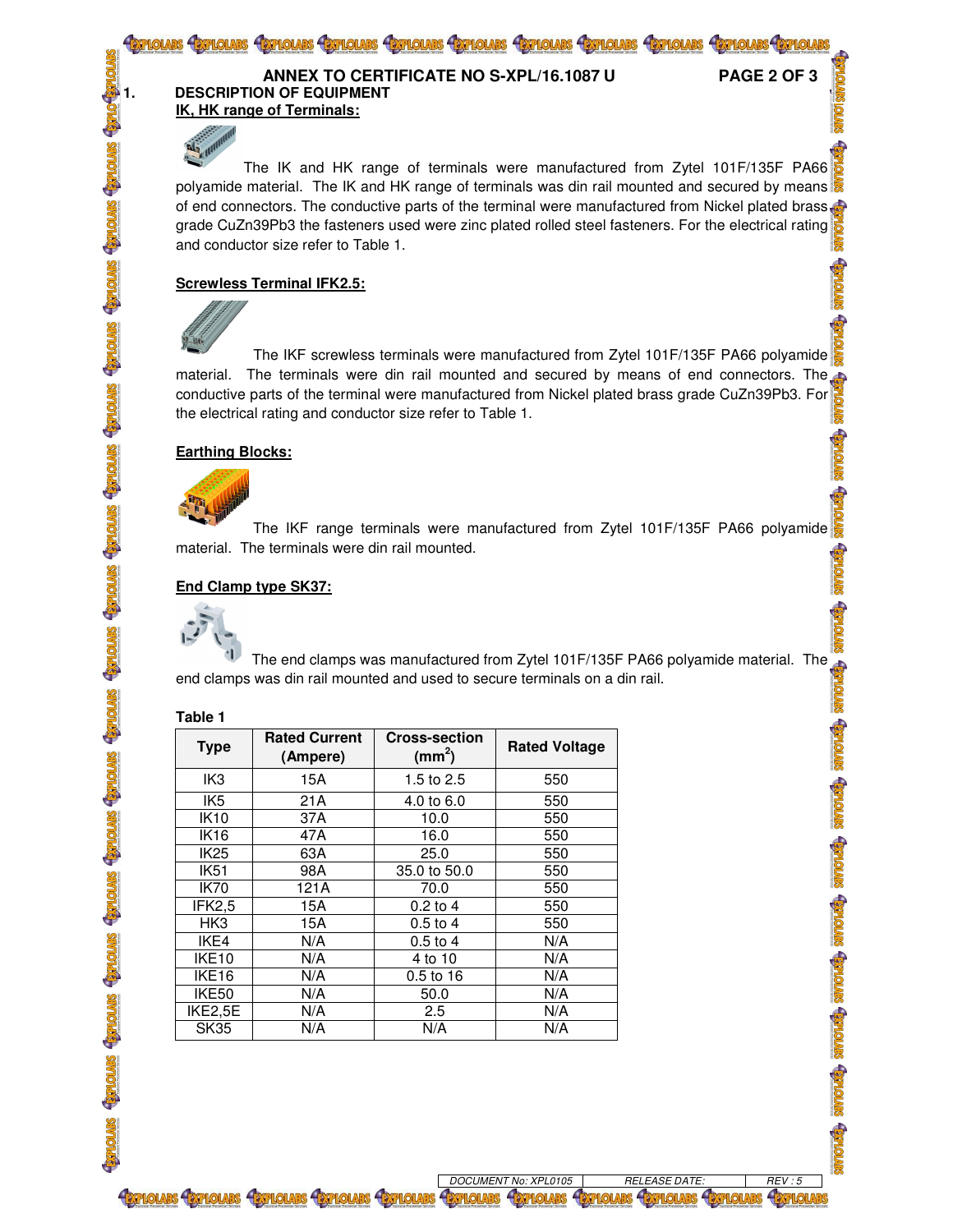

The IK and HK range of terminals were manufactured from Zytel 101F/135F PA66 polyamide material. The IK and HK range of terminals was din rail mounted and secured by means of end connectors. The conductive parts of the terminal were manufactured from Nickel plated brass grade CuZn39Pb3 the fasteners used were zinc plated rolled steel fasteners. For the electrical rating and conductor size refer to Table 1.

Genours Genours Genours Genours Genours Genours Genours Genours Genours Genours Genours

## **Screwless Terminal IFK2.5:**



The IKF screwless terminals were manufactured from Zytel 101F/135F PA66 polyamide material. The terminals were din rail mounted and secured by means of end connectors. The conductive parts of the terminal were manufactured from Nickel plated brass grade CuZn39Pb3. For the electrical rating and conductor size refer to Table 1.

# **Earthing Blocks:**



The IKF range terminals were manufactured from Zytel 101F/135F PA66 polyamide material. The terminals were din rail mounted.

# **End Clamp type SK37:**



The end clamps was manufactured from Zytel 101F/135F PA66 polyamide material. The end clamps was din rail mounted and used to secure terminals on a din rail.

## **Table 1**

| <b>Type</b>                  | <b>Rated Current</b><br>(Ampere) | <b>Cross-section</b><br>(mm <sup>2</sup> ) | <b>Rated Voltage</b> |
|------------------------------|----------------------------------|--------------------------------------------|----------------------|
| IK <sub>3</sub>              | 15A                              | 1.5 to 2.5                                 | 550                  |
| IK <sub>5</sub>              | 21A                              | 4.0 to 6.0                                 | 550                  |
| <b>IK10</b>                  | 37A                              | 10.0                                       | 550                  |
| <b>IK16</b>                  | 47A                              | 16.0                                       | 550                  |
| <b>IK25</b>                  | 63A                              | 25.0                                       | 550                  |
| <b>IK51</b>                  | 98A                              | 35.0 to 50.0                               | 550                  |
| <b>IK70</b>                  | 121A                             | 70.0                                       | 550                  |
| IFK2,5                       | 15A                              | $0.2$ to 4                                 | 550                  |
| HK <sub>3</sub>              | 15A                              | $0.5$ to 4                                 | 550                  |
| IKE4                         | N/A                              | $0.5$ to $4$                               | N/A                  |
| IKE <sub>10</sub>            | N/A                              | 4 to 10                                    | N/A                  |
| IKE <sub>16</sub>            | N/A                              | $0.5$ to 16                                | N/A                  |
| IKE50                        | N/A                              | 50.0                                       | N/A                  |
| $\overline{\text{IK}}$ E2,5E | N/A                              | 2.5                                        | N/A                  |
| <b>SK35</b>                  | N/A                              | N/A                                        | N/A                  |

*DOCUMENT No: XPL0105 RELEASE DATE: REV : 5*  **BEFLOLARS BEFLOLARS &B**